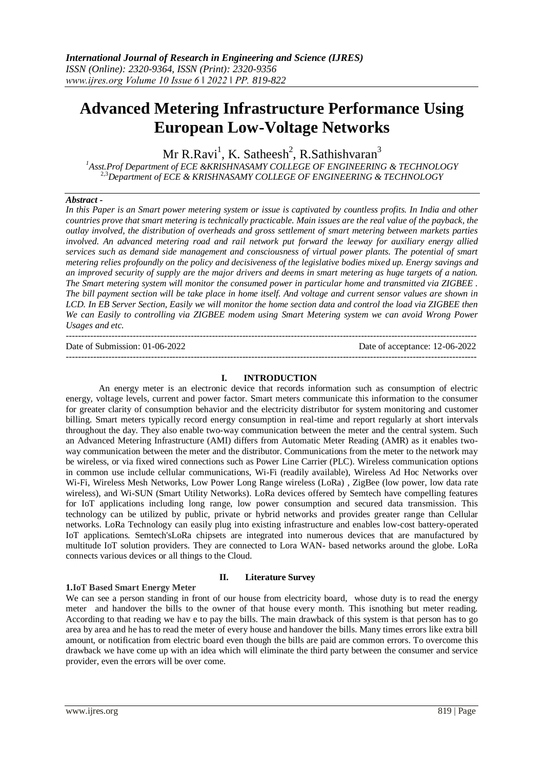# **Advanced Metering Infrastructure Performance Using European Low-Voltage Networks**

Mr R.Ravi<sup>1</sup>, K. Satheesh<sup>2</sup>, R.Sathishvaran<sup>3</sup>

*<sup>1</sup>Asst.Prof Department of ECE &KRISHNASAMY COLLEGE OF ENGINEERING & TECHNOLOGY* 2,3*Department of ECE & KRISHNASAMY COLLEGE OF ENGINEERING & TECHNOLOGY*

# *Abstract -*

*In this Paper is an Smart power metering system or issue is captivated by countless profits. In India and other countries prove that smart metering is technically practicable. Main issues are the real value of the payback, the outlay involved, the distribution of overheads and gross settlement of smart metering between markets parties involved. An advanced metering road and rail network put forward the leeway for auxiliary energy allied services such as demand side management and consciousness of virtual power plants. The potential of smart metering relies profoundly on the policy and decisiveness of the legislative bodies mixed up. Energy savings and an improved security of supply are the major drivers and deems in smart metering as huge targets of a nation. The Smart metering system will monitor the consumed power in particular home and transmitted via ZIGBEE . The bill payment section will be take place in home itself. And voltage and current sensor values are shown in LCD. In EB Server Section, Easily we will monitor the home section data and control the load via ZIGBEE then We can Easily to controlling via ZIGBEE modem using Smart Metering system we can avoid Wrong Power Usages and etc.* 

---------------------------------------------------------------------------------------------------------------------------------------

--------------------------------------------------------------------------------------------------------------------------------------- Date of Submission: 01-06-2022 Date of acceptance: 12-06-2022

## **I. INTRODUCTION**

An energy meter is an electronic device that records information such as consumption of electric energy, voltage levels, current and power factor. Smart meters communicate this information to the consumer for greater clarity of consumption behavior and the electricity distributor for system monitoring and customer billing. Smart meters typically record energy consumption in real-time and report regularly at short intervals throughout the day. They also enable two-way communication between the meter and the central system. Such an Advanced Metering Infrastructure (AMI) differs from Automatic Meter Reading (AMR) as it enables twoway communication between the meter and the distributor. Communications from the meter to the network may be wireless, or via fixed wired connections such as Power Line Carrier (PLC). Wireless communication options in common use include cellular communications, Wi-Fi (readily available), Wireless Ad Hoc Networks over Wi-Fi, Wireless Mesh Networks, Low Power Long Range wireless (LoRa) , ZigBee (low power, low data rate wireless), and Wi-SUN (Smart Utility Networks). LoRa devices offered by Semtech have compelling features for IoT applications including long range, low power consumption and secured data transmission. This technology can be utilized by public, private or hybrid networks and provides greater range than Cellular networks. LoRa Technology can easily plug into existing infrastructure and enables low-cost battery-operated IoT applications. Semtech'sLoRa chipsets are integrated into numerous devices that are manufactured by multitude IoT solution providers. They are connected to Lora WAN- based networks around the globe. LoRa connects various devices or all things to the Cloud.

## **1.IoT Based Smart Energy Meter**

## **II. Literature Survey**

We can see a person standing in front of our house from electricity board, whose duty is to read the energy meter and handover the bills to the owner of that house every month. This isnothing but meter reading. According to that reading we hav e to pay the bills. The main drawback of this system is that person has to go area by area and he has to read the meter of every house and handover the bills. Many times errors like extra bill amount, or notification from electric board even though the bills are paid are common errors. To overcome this drawback we have come up with an idea which will eliminate the third party between the consumer and service provider, even the errors will be over come.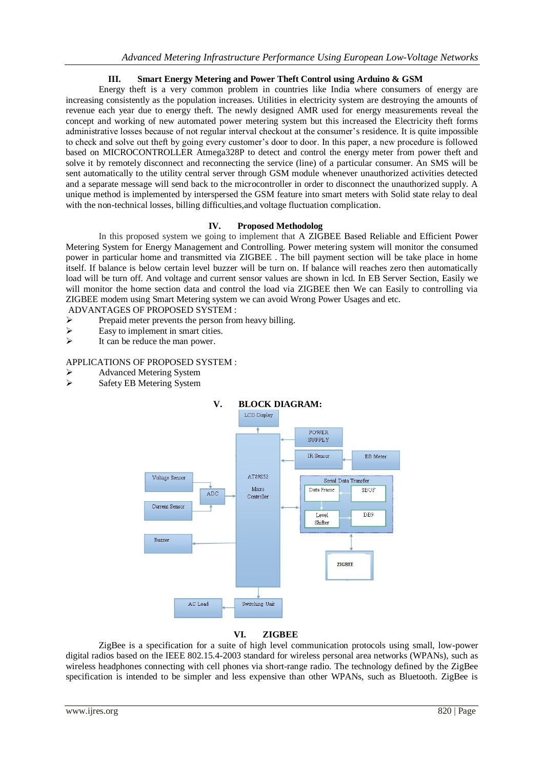# **III. Smart Energy Metering and Power Theft Control using Arduino & GSM**

Energy theft is a very common problem in countries like India where consumers of energy are increasing consistently as the population increases. Utilities in electricity system are destroying the amounts of revenue each year due to energy theft. The newly designed AMR used for energy measurements reveal the concept and working of new automated power metering system but this increased the Electricity theft forms administrative losses because of not regular interval checkout at the consumer's residence. It is quite impossible to check and solve out theft by going every customer's door to door. In this paper, a new procedure is followed based on MICROCONTROLLER Atmega328P to detect and control the energy meter from power theft and solve it by remotely disconnect and reconnecting the service (line) of a particular consumer. An SMS will be sent automatically to the utility central server through GSM module whenever unauthorized activities detected and a separate message will send back to the microcontroller in order to disconnect the unauthorized supply. A unique method is implemented by interspersed the GSM feature into smart meters with Solid state relay to deal with the non-technical losses, billing difficulties,and voltage fluctuation complication.

# **IV. Proposed Methodolog**

In this proposed system we going to implement that A ZIGBEE Based Reliable and Efficient Power Metering System for Energy Management and Controlling. Power metering system will monitor the consumed power in particular home and transmitted via ZIGBEE . The bill payment section will be take place in home itself. If balance is below certain level buzzer will be turn on. If balance will reaches zero then automatically load will be turn off. And voltage and current sensor values are shown in lcd. In EB Server Section, Easily we will monitor the home section data and control the load via ZIGBEE then We can Easily to controlling via ZIGBEE modem using Smart Metering system we can avoid Wrong Power Usages and etc.

ADVANTAGES OF PROPOSED SYSTEM :

- $\triangleright$  Prepaid meter prevents the person from heavy billing.
- $\triangleright$  Easy to implement in smart cities.
- $\triangleright$  It can be reduce the man power.

# APPLICATIONS OF PROPOSED SYSTEM :

- Advanced Metering System
- $\triangleright$  Safety EB Metering System



# **VI. ZIGBEE**

ZigBee is a specification for a suite of high level communication protocols using small, low-power digital radios based on the IEEE 802.15.4-2003 standard for wireless personal area networks (WPANs), such as wireless headphones connecting with cell phones via short-range radio. The technology defined by the ZigBee specification is intended to be simpler and less expensive than other WPANs, such as Bluetooth. ZigBee is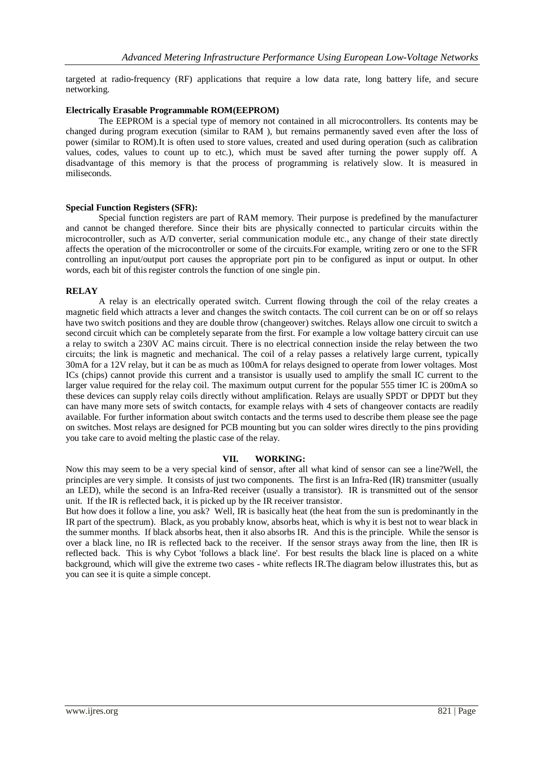targeted at radio-frequency (RF) applications that require a low data rate, long battery life, and secure networking.

#### **Electrically Erasable Programmable ROM(EEPROM)**

The EEPROM is a special type of memory not contained in all microcontrollers. Its contents may be changed during program execution (similar to RAM ), but remains permanently saved even after the loss of power (similar to ROM).It is often used to store values, created and used during operation (such as calibration values, codes, values to count up to etc.), which must be saved after turning the power supply off. A disadvantage of this memory is that the process of programming is relatively slow. It is measured in miliseconds.

#### **Special Function Registers (SFR):**

Special function registers are part of RAM memory. Their purpose is predefined by the manufacturer and cannot be changed therefore. Since their bits are physically connected to particular circuits within the microcontroller, such as A/D converter, serial communication module etc., any change of their state directly affects the operation of the microcontroller or some of the circuits.For example, writing zero or one to the SFR controlling an input/output port causes the appropriate port pin to be configured as input or output. In other words, each bit of this register controls the function of one single pin.

#### **RELAY**

A relay is an electrically operated switch. Current flowing through the coil of the relay creates a magnetic field which attracts a lever and changes the switch contacts. The coil current can be on or off so relays have two switch positions and they are double throw (changeover) switches. Relays allow one circuit to switch a second circuit which can be completely separate from the first. For example a low voltage battery circuit can use a relay to switch a 230V AC mains circuit. There is no electrical connection inside the relay between the two circuits; the link is magnetic and mechanical. The coil of a relay passes a relatively large current, typically 30mA for a 12V relay, but it can be as much as 100mA for relays designed to operate from lower voltages. Most ICs (chips) cannot provide this current and a transistor is usually used to amplify the small IC current to the larger value required for the relay coil. The maximum output current for the popular 555 timer IC is 200mA so these devices can supply relay coils directly without amplification. Relays are usually SPDT or DPDT but they can have many more sets of switch contacts, for example relays with 4 sets of changeover contacts are readily available. For further information about switch contacts and the terms used to describe them please see the page on switches. Most relays are designed for PCB mounting but you can solder wires directly to the pins providing you take care to avoid melting the plastic case of the relay.

#### **VII. WORKING:**

Now this may seem to be a very special kind of sensor, after all what kind of sensor can see a line?Well, the principles are very simple. It consists of just two components. The first is an Infra-Red (IR) transmitter (usually an LED), while the second is an Infra-Red receiver (usually a transistor). IR is transmitted out of the sensor unit. If the IR is reflected back, it is picked up by the IR receiver transistor.

But how does it follow a line, you ask? Well, IR is basically heat (the heat from the sun is predominantly in the IR part of the spectrum). Black, as you probably know, absorbs heat, which is why it is best not to wear black in the summer months. If black absorbs heat, then it also absorbs IR. And this is the principle. While the sensor is over a black line, no IR is reflected back to the receiver. If the sensor strays away from the line, then IR is reflected back. This is why Cybot 'follows a black line'. For best results the black line is placed on a white background, which will give the extreme two cases - white reflects IR.The diagram below illustrates this, but as you can see it is quite a simple concept.